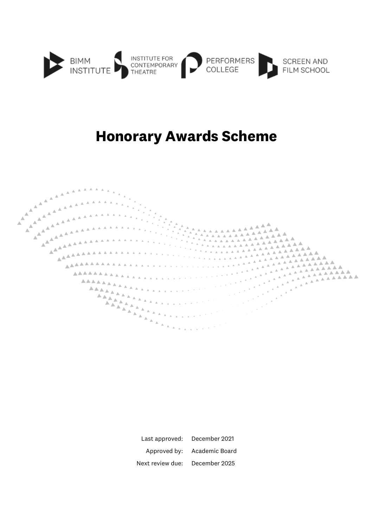

## **Honorary Awards Scheme**



| Last approved:   | December 2021  |
|------------------|----------------|
| Approved by:     | Academic Board |
| Next review due: | December 2025  |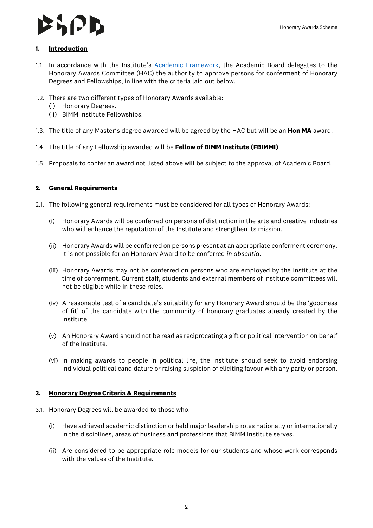#### Honorary Awards Scheme

#### **1. Introduction**

- 1.1. In accordance with the Institute's [Academic Framework,](https://www.bimm.ac.uk/academic-framework/) the Academic Board delegates to the Honorary Awards Committee (HAC) the authority to approve persons for conferment of Honorary Degrees and Fellowships, in line with the criteria laid out below.
- 1.2. There are two different types of Honorary Awards available:
	- (i) Honorary Degrees.
	- (ii) BIMM Institute Fellowships.
- 1.3. The title of any Master's degree awarded will be agreed by the HAC but will be an **Hon MA** award.
- 1.4. The title of any Fellowship awarded will be **Fellow of BIMM Institute (FBIMMI)**.
- 1.5. Proposals to confer an award not listed above will be subject to the approval of Academic Board.

### **2. General Requirements**

- 2.1. The following general requirements must be considered for all types of Honorary Awards:
	- (i) Honorary Awards will be conferred on persons of distinction in the arts and creative industries who will enhance the reputation of the Institute and strengthen its mission.
	- (ii) Honorary Awards will be conferred on persons present at an appropriate conferment ceremony. It is not possible for an Honorary Award to be conferred *in absentia*.
	- (iii) Honorary Awards may not be conferred on persons who are employed by the Institute at the time of conferment. Current staff, students and external members of Institute committees will not be eligible while in these roles.
	- (iv) A reasonable test of a candidate's suitability for any Honorary Award should be the 'goodness of fit' of the candidate with the community of honorary graduates already created by the Institute.
	- (v) An Honorary Award should not be read as reciprocating a gift or political intervention on behalf of the Institute.
	- (vi) In making awards to people in political life, the Institute should seek to avoid endorsing individual political candidature or raising suspicion of eliciting favour with any party or person.

#### **3. Honorary Degree Criteria & Requirements**

- 3.1. Honorary Degrees will be awarded to those who:
	- (i) Have achieved academic distinction or held major leadership roles nationally or internationally in the disciplines, areas of business and professions that BIMM Institute serves.
	- (ii) Are considered to be appropriate role models for our students and whose work corresponds with the values of the Institute.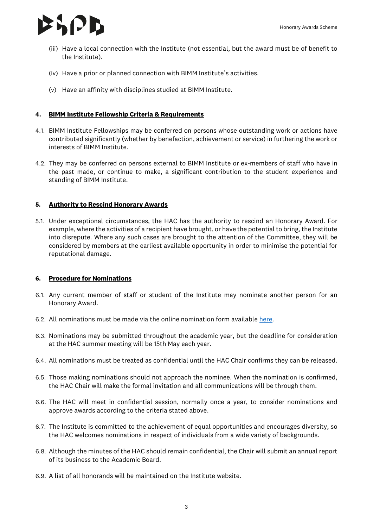

- (iii) Have a local connection with the Institute (not essential, but the award must be of benefit to the Institute).
- (iv) Have a prior or planned connection with BIMM Institute's activities.
- (v) Have an affinity with disciplines studied at BIMM Institute.

#### **4. BIMM Institute Fellowship Criteria & Requirements**

- 4.1. BIMM Institute Fellowships may be conferred on persons whose outstanding work or actions have contributed significantly (whether by benefaction, achievement or service) in furthering the work or interests of BIMM Institute.
- 4.2. They may be conferred on persons external to BIMM Institute or ex-members of staff who have in the past made, or continue to make, a significant contribution to the student experience and standing of BIMM Institute.

#### **5. Authority to Rescind Honorary Awards**

5.1. Under exceptional circumstances, the HAC has the authority to rescind an Honorary Award. For example, where the activities of a recipient have brought, or have the potential to bring, the Institute into disrepute. Where any such cases are brought to the attention of the Committee, they will be considered by members at the earliest available opportunity in order to minimise the potential for reputational damage.

#### **6. Procedure for Nominations**

- 6.1. Any current member of staff or student of the Institute may nominate another person for an Honorary Award.
- 6.2. All nominations must be made via the online nomination form available [here.](https://www.bimm.ac.uk/honorary-awards)
- 6.3. Nominations may be submitted throughout the academic year, but the deadline for consideration at the HAC summer meeting will be 15th May each year.
- 6.4. All nominations must be treated as confidential until the HAC Chair confirms they can be released.
- 6.5. Those making nominations should not approach the nominee. When the nomination is confirmed, the HAC Chair will make the formal invitation and all communications will be through them.
- 6.6. The HAC will meet in confidential session, normally once a year, to consider nominations and approve awards according to the criteria stated above.
- 6.7. The Institute is committed to the achievement of equal opportunities and encourages diversity, so the HAC welcomes nominations in respect of individuals from a wide variety of backgrounds.
- 6.8. Although the minutes of the HAC should remain confidential, the Chair will submit an annual report of its business to the Academic Board.
- 6.9. A list of all honorands will be maintained on the Institute website.